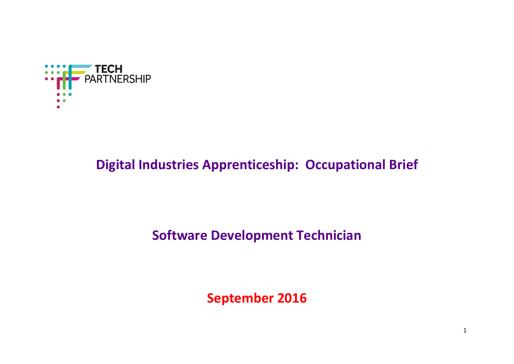

# **Digital Industries Apprenticeship: Occupational Brief**

# **Software Development Technician**

**September 2016**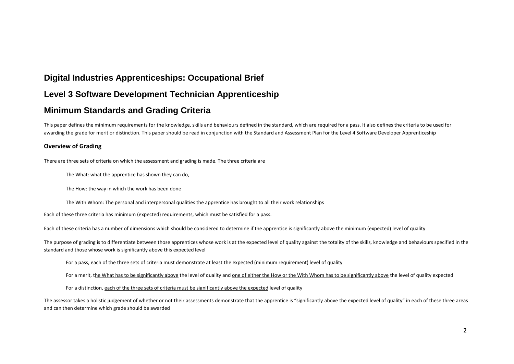# **Digital Industries Apprenticeships: Occupational Brief**

## **Level 3 Software Development Technician Apprenticeship**

### **Minimum Standards and Grading Criteria**

This paper defines the minimum requirements for the knowledge, skills and behaviours defined in the standard, which are required for a pass. It also defines the criteria to be used for awarding the grade for merit or distinction. This paper should be read in conjunction with the Standard and Assessment Plan for the Level 4 Software Developer Apprenticeship

#### **Overview of Grading**

There are three sets of criteria on which the assessment and grading is made. The three criteria are

The What: what the apprentice has shown they can do,

The How: the way in which the work has been done

The With Whom: The personal and interpersonal qualities the apprentice has brought to all their work relationships

Each of these three criteria has minimum (expected) requirements, which must be satisfied for a pass.

Each of these criteria has a number of dimensions which should be considered to determine if the apprentice is significantly above the minimum (expected) level of quality

The purpose of grading is to differentiate between those apprentices whose work is at the expected level of quality against the totality of the skills, knowledge and behaviours specified in the standard and those whose work is significantly above this expected level

For a pass, each of the three sets of criteria must demonstrate at least the expected (minimum requirement) level of quality

For a merit, the What has to be significantly above the level of quality and one of either the How or the With Whom has to be significantly above the level of quality expected

For a distinction, each of the three sets of criteria must be significantly above the expected level of quality

The assessor takes a holistic judgement of whether or not their assessments demonstrate that the apprentice is "significantly above the expected level of quality" in each of these three areas and can then determine which grade should be awarded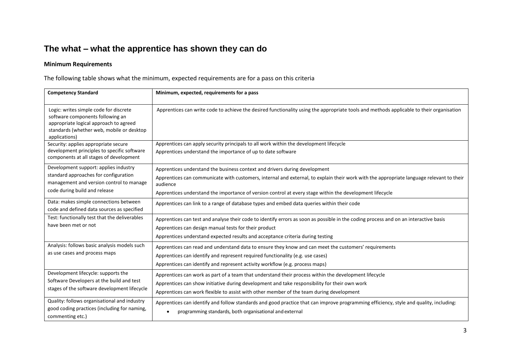# **The what – what the apprentice has shown they can do**

### **Minimum Requirements**

The following table shows what the minimum, expected requirements are for a pass on this criteria

| <b>Competency Standard</b>                                                                                                                                                         | Minimum, expected, requirements for a pass                                                                                                                                                                                                                                                                                                     |
|------------------------------------------------------------------------------------------------------------------------------------------------------------------------------------|------------------------------------------------------------------------------------------------------------------------------------------------------------------------------------------------------------------------------------------------------------------------------------------------------------------------------------------------|
| Logic: writes simple code for discrete<br>software components following an<br>appropriate logical approach to agreed<br>standards (whether web, mobile or desktop<br>applications) | Apprentices can write code to achieve the desired functionality using the appropriate tools and methods applicable to their organisation                                                                                                                                                                                                       |
| Security: applies appropriate secure<br>development principles to specific software<br>components at all stages of development                                                     | Apprentices can apply security principals to all work within the development lifecycle<br>Apprentices understand the importance of up to date software                                                                                                                                                                                         |
| Development support: applies industry<br>standard approaches for configuration<br>management and version control to manage<br>code during build and release                        | Apprentices understand the business context and drivers during development<br>Apprentices can communicate with customers, internal and external, to explain their work with the appropriate language relevant to their<br>audience<br>Apprentices understand the importance of version control at every stage within the development lifecycle |
| Data: makes simple connections between<br>code and defined data sources as specified                                                                                               | Apprentices can link to a range of database types and embed data queries within their code                                                                                                                                                                                                                                                     |
| Test: functionally test that the deliverables<br>have been met or not                                                                                                              | Apprentices can test and analyse their code to identify errors as soon as possible in the coding process and on an interactive basis<br>Apprentices can design manual tests for their product<br>Apprentices understand expected results and acceptance criteria during testing                                                                |
| Analysis: follows basic analysis models such<br>as use cases and process maps                                                                                                      | Apprentices can read and understand data to ensure they know and can meet the customers' requirements<br>Apprentices can identify and represent required functionality (e.g. use cases)<br>Apprentices can identify and represent activity workflow (e.g. process maps)                                                                        |
| Development lifecycle: supports the<br>Software Developers at the build and test<br>stages of the software development lifecycle                                                   | Apprentices can work as part of a team that understand their process within the development lifecycle<br>Apprentices can show initiative during development and take responsibility for their own work<br>Apprentices can work flexible to assist with other member of the team during development                                             |
| Quality: follows organisational and industry<br>good coding practices (including for naming,<br>commenting etc.)                                                                   | Apprentices can identify and follow standards and good practice that can improve programming efficiency, style and quality, including:<br>programming standards, both organisational and external                                                                                                                                              |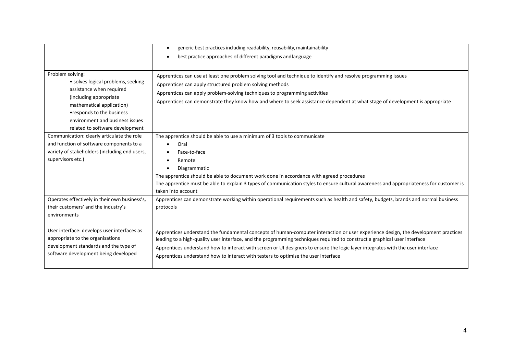|                                                                                                                                                                                                                                                                      | generic best practices including readability, reusability, maintainability                                                                                                                                                                                                                                                                                                                                                                                                                                                                 |
|----------------------------------------------------------------------------------------------------------------------------------------------------------------------------------------------------------------------------------------------------------------------|--------------------------------------------------------------------------------------------------------------------------------------------------------------------------------------------------------------------------------------------------------------------------------------------------------------------------------------------------------------------------------------------------------------------------------------------------------------------------------------------------------------------------------------------|
|                                                                                                                                                                                                                                                                      | best practice approaches of different paradigms and language                                                                                                                                                                                                                                                                                                                                                                                                                                                                               |
|                                                                                                                                                                                                                                                                      |                                                                                                                                                                                                                                                                                                                                                                                                                                                                                                                                            |
| Problem solving:<br>• solves logical problems, seeking<br>assistance when required<br>(including appropriate)<br>mathematical application)<br>•responds to the business<br>environment and business issues                                                           | Apprentices can use at least one problem solving tool and technique to identify and resolve programming issues<br>Apprentices can apply structured problem solving methods<br>Apprentices can apply problem-solving techniques to programming activities<br>Apprentices can demonstrate they know how and where to seek assistance dependent at what stage of development is appropriate                                                                                                                                                   |
| related to software development                                                                                                                                                                                                                                      |                                                                                                                                                                                                                                                                                                                                                                                                                                                                                                                                            |
| Communication: clearly articulate the role<br>and function of software components to a<br>variety of stakeholders (including end users,<br>supervisors etc.)<br>Operates effectively in their own business's,<br>their customers' and the industry's<br>environments | The apprentice should be able to use a minimum of 3 tools to communicate<br>Oral<br>Face-to-face<br>Remote<br>Diagrammatic<br>The apprentice should be able to document work done in accordance with agreed procedures<br>The apprentice must be able to explain 3 types of communication styles to ensure cultural awareness and appropriateness for customer is<br>taken into account<br>Apprentices can demonstrate working within operational requirements such as health and safety, budgets, brands and normal business<br>protocols |
| User interface: develops user interfaces as<br>appropriate to the organisations<br>development standards and the type of<br>software development being developed                                                                                                     | Apprentices understand the fundamental concepts of human-computer interaction or user experience design, the development practices<br>leading to a high-quality user interface, and the programming techniques required to construct a graphical user interface<br>Apprentices understand how to interact with screen or UI designers to ensure the logic layer integrates with the user interface<br>Apprentices understand how to interact with testers to optimise the user interface                                                   |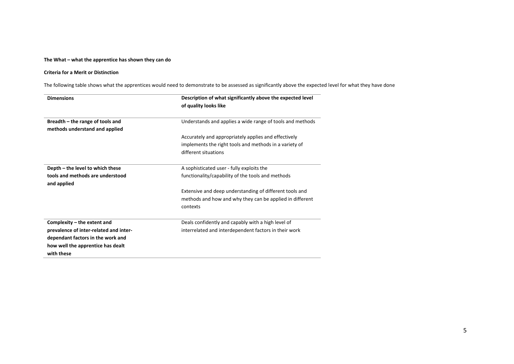#### **The What – what the apprentice has shown they can do**

#### **Criteria for a Merit or Distinction**

The following table shows what the apprentices would need to demonstrate to be assessed as significantly above the expected level for what they have done

| <b>Dimensions</b>                      | Description of what significantly above the expected level |  |  |
|----------------------------------------|------------------------------------------------------------|--|--|
|                                        | of quality looks like                                      |  |  |
| Breadth - the range of tools and       | Understands and applies a wide range of tools and methods  |  |  |
| methods understand and applied         |                                                            |  |  |
|                                        | Accurately and appropriately applies and effectively       |  |  |
|                                        | implements the right tools and methods in a variety of     |  |  |
|                                        | different situations                                       |  |  |
| Depth – the level to which these       | A sophisticated user - fully exploits the                  |  |  |
| tools and methods are understood       | functionality/capability of the tools and methods          |  |  |
| and applied                            |                                                            |  |  |
|                                        | Extensive and deep understanding of different tools and    |  |  |
|                                        | methods and how and why they can be applied in different   |  |  |
|                                        | contexts                                                   |  |  |
| Complexity – the extent and            | Deals confidently and capably with a high level of         |  |  |
| prevalence of inter-related and inter- | interrelated and interdependent factors in their work      |  |  |
| dependant factors in the work and      |                                                            |  |  |
| how well the apprentice has dealt      |                                                            |  |  |
| with these                             |                                                            |  |  |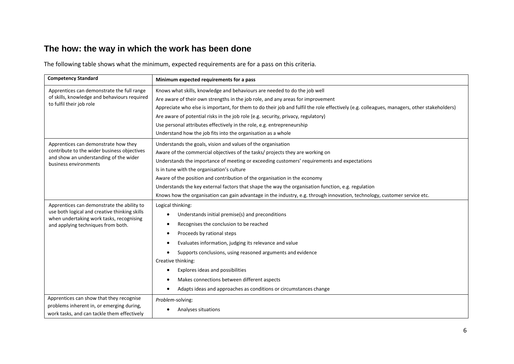# **The how: the way in which the work has been done**

The following table shows what the minimum, expected requirements are for a pass on this criteria.

| <b>Competency Standard</b>                                                            | Minimum expected requirements for a pass                                                                                                   |
|---------------------------------------------------------------------------------------|--------------------------------------------------------------------------------------------------------------------------------------------|
| Apprentices can demonstrate the full range                                            | Knows what skills, knowledge and behaviours are needed to do the job well                                                                  |
| of skills, knowledge and behaviours required                                          | Are aware of their own strengths in the job role, and any areas for improvement                                                            |
| to fulfil their job role                                                              | Appreciate who else is important, for them to do their job and fulfil the role effectively (e.g. colleagues, managers, other stakeholders) |
|                                                                                       | Are aware of potential risks in the job role (e.g. security, privacy, regulatory)                                                          |
|                                                                                       | Use personal attributes effectively in the role, e.g. entrepreneurship                                                                     |
|                                                                                       | Understand how the job fits into the organisation as a whole                                                                               |
| Apprentices can demonstrate how they                                                  | Understands the goals, vision and values of the organisation                                                                               |
| contribute to the wider business objectives                                           | Aware of the commercial objectives of the tasks/ projects they are working on                                                              |
| and show an understanding of the wider<br>business environments                       | Understands the importance of meeting or exceeding customers' requirements and expectations                                                |
|                                                                                       | Is in tune with the organisation's culture                                                                                                 |
|                                                                                       | Aware of the position and contribution of the organisation in the economy                                                                  |
|                                                                                       | Understands the key external factors that shape the way the organisation function, e.g. regulation                                         |
|                                                                                       | Knows how the organisation can gain advantage in the industry, e.g. through innovation, technology, customer service etc.                  |
| Apprentices can demonstrate the ability to                                            | Logical thinking:                                                                                                                          |
| use both logical and creative thinking skills                                         | Understands initial premise(s) and preconditions                                                                                           |
| when undertaking work tasks, recognising<br>and applying techniques from both.        | Recognises the conclusion to be reached                                                                                                    |
|                                                                                       | Proceeds by rational steps                                                                                                                 |
|                                                                                       | Evaluates information, judging its relevance and value                                                                                     |
|                                                                                       | Supports conclusions, using reasoned arguments and evidence                                                                                |
|                                                                                       | Creative thinking:                                                                                                                         |
|                                                                                       | Explores ideas and possibilities                                                                                                           |
|                                                                                       | Makes connections between different aspects                                                                                                |
|                                                                                       |                                                                                                                                            |
|                                                                                       | Adapts ideas and approaches as conditions or circumstances change                                                                          |
| Apprentices can show that they recognise<br>problems inherent in, or emerging during, | Problem-solving:                                                                                                                           |
| work tasks, and can tackle them effectively                                           | Analyses situations                                                                                                                        |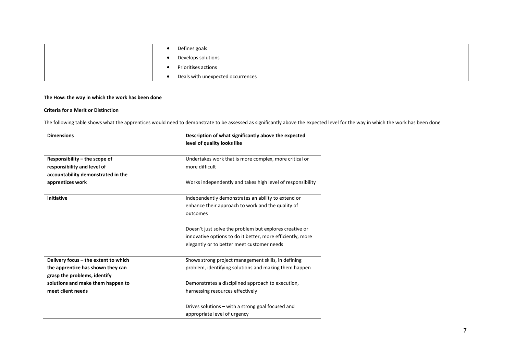|  | Defines goals                     |
|--|-----------------------------------|
|  | Develops solutions                |
|  | Prioritises actions               |
|  | Deals with unexpected occurrences |

#### **The How: the way in which the work has been done**

#### **Criteria for a Merit or Distinction**

The following table shows what the apprentices would need to demonstrate to be assessed as significantly above the expected level for the way in which the work has been done

| <b>Dimensions</b>                    | Description of what significantly above the expected<br>level of quality looks like |
|--------------------------------------|-------------------------------------------------------------------------------------|
|                                      |                                                                                     |
| Responsibility – the scope of        | Undertakes work that is more complex, more critical or                              |
| responsibility and level of          | more difficult                                                                      |
| accountability demonstrated in the   |                                                                                     |
| apprentices work                     | Works independently and takes high level of responsibility                          |
| <b>Initiative</b>                    | Independently demonstrates an ability to extend or                                  |
|                                      | enhance their approach to work and the quality of                                   |
|                                      | outcomes                                                                            |
|                                      |                                                                                     |
|                                      | Doesn't just solve the problem but explores creative or                             |
|                                      | innovative options to do it better, more efficiently, more                          |
|                                      | elegantly or to better meet customer needs                                          |
| Delivery focus - the extent to which | Shows strong project management skills, in defining                                 |
| the apprentice has shown they can    | problem, identifying solutions and making them happen                               |
| grasp the problems, identify         |                                                                                     |
| solutions and make them happen to    | Demonstrates a disciplined approach to execution,                                   |
| meet client needs                    | harnessing resources effectively                                                    |
|                                      | Drives solutions - with a strong goal focused and                                   |
|                                      | appropriate level of urgency                                                        |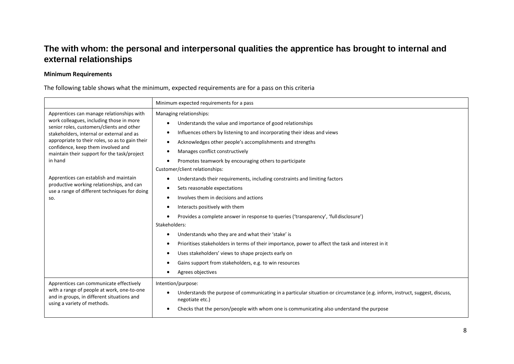## **The with whom: the personal and interpersonal qualities the apprentice has brought to internal and external relationships**

### **Minimum Requirements**

### The following table shows what the minimum, expected requirements are for a pass on this criteria

|                                                                                                                                                                                                                                                                                                                                                                                                                                                                                   | Minimum expected requirements for a pass                                                                                                                                                                                                                                                                                                                                                                                                                                                                                                                                                                                                                                                                                                                                                                                                                                                                                                        |
|-----------------------------------------------------------------------------------------------------------------------------------------------------------------------------------------------------------------------------------------------------------------------------------------------------------------------------------------------------------------------------------------------------------------------------------------------------------------------------------|-------------------------------------------------------------------------------------------------------------------------------------------------------------------------------------------------------------------------------------------------------------------------------------------------------------------------------------------------------------------------------------------------------------------------------------------------------------------------------------------------------------------------------------------------------------------------------------------------------------------------------------------------------------------------------------------------------------------------------------------------------------------------------------------------------------------------------------------------------------------------------------------------------------------------------------------------|
| Apprentices can manage relationships with<br>work colleagues, including those in more<br>senior roles, customers/clients and other<br>stakeholders, internal or external and as<br>appropriate to their roles, so as to gain their<br>confidence, keep them involved and<br>maintain their support for the task/project<br>in hand<br>Apprentices can establish and maintain<br>productive working relationships, and can<br>use a range of different techniques for doing<br>SO. | Managing relationships:<br>Understands the value and importance of good relationships<br>Influences others by listening to and incorporating their ideas and views<br>Acknowledges other people's accomplishments and strengths<br>Manages conflict constructively<br>Promotes teamwork by encouraging others to participate<br>Customer/client relationships:<br>Understands their requirements, including constraints and limiting factors<br>Sets reasonable expectations<br>Involves them in decisions and actions<br>Interacts positively with them<br>Provides a complete answer in response to queries ('transparency', 'full disclosure')<br>Stakeholders:<br>Understands who they are and what their 'stake' is<br>Prioritises stakeholders in terms of their importance, power to affect the task and interest in it<br>Uses stakeholders' views to shape projects early on<br>Gains support from stakeholders, e.g. to win resources |
| Apprentices can communicate effectively<br>with a range of people at work, one-to-one<br>and in groups, in different situations and<br>using a variety of methods.                                                                                                                                                                                                                                                                                                                | Agrees objectives<br>Intention/purpose:<br>Understands the purpose of communicating in a particular situation or circumstance (e.g. inform, instruct, suggest, discuss,<br>negotiate etc.)<br>Checks that the person/people with whom one is communicating also understand the purpose                                                                                                                                                                                                                                                                                                                                                                                                                                                                                                                                                                                                                                                          |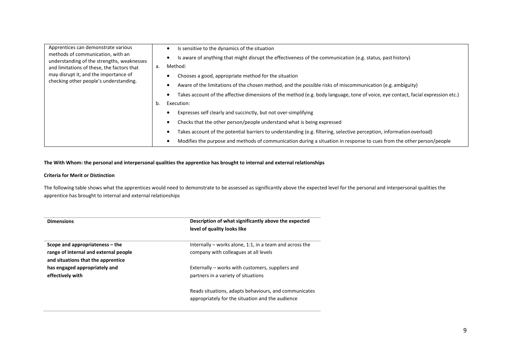| Apprentices can demonstrate various<br>methods of communication, with an<br>understanding of the strengths, weaknesses<br>and limitations of these, the factors that<br>may disrupt it, and the importance of<br>checking other people's understanding. |    | Is sensitive to the dynamics of the situation                                                                                    |
|---------------------------------------------------------------------------------------------------------------------------------------------------------------------------------------------------------------------------------------------------------|----|----------------------------------------------------------------------------------------------------------------------------------|
|                                                                                                                                                                                                                                                         |    | Is aware of anything that might disrupt the effectiveness of the communication (e.g. status, past history)                       |
|                                                                                                                                                                                                                                                         | а. | Method:                                                                                                                          |
|                                                                                                                                                                                                                                                         |    | Chooses a good, appropriate method for the situation                                                                             |
|                                                                                                                                                                                                                                                         |    | Aware of the limitations of the chosen method, and the possible risks of miscommunication (e.g. ambiguity)                       |
|                                                                                                                                                                                                                                                         |    | Takes account of the affective dimensions of the method (e.g. body language, tone of voice, eye contact, facial expression etc.) |
|                                                                                                                                                                                                                                                         | b. | Execution:                                                                                                                       |
|                                                                                                                                                                                                                                                         |    | Expresses self clearly and succinctly, but not over-simplifying                                                                  |
|                                                                                                                                                                                                                                                         |    | Checks that the other person/people understand what is being expressed                                                           |
|                                                                                                                                                                                                                                                         |    | Takes account of the potential barriers to understanding (e.g. filtering, selective perception, information overload)            |
|                                                                                                                                                                                                                                                         |    | Modifies the purpose and methods of communication during a situation in response to cues from the other person/people            |

#### **The With Whom: the personal and interpersonal qualities the apprentice has brought to internal and external relationships**

#### **Criteria for Merit or Distinction**

The following table shows what the apprentices would need to demonstrate to be assessed as significantly above the expected level for the personal and interpersonal qualities the apprentice has brought to internal and external relationships

| <b>Dimensions</b>                     | Description of what significantly above the expected<br>level of quality looks like                       |
|---------------------------------------|-----------------------------------------------------------------------------------------------------------|
| Scope and appropriateness – the       | Internally – works alone, 1:1, in a team and across the                                                   |
| range of internal and external people | company with colleagues at all levels                                                                     |
| and situations that the apprentice    |                                                                                                           |
| has engaged appropriately and         | Externally – works with customers, suppliers and                                                          |
| effectively with                      | partners in a variety of situations                                                                       |
|                                       | Reads situations, adapts behaviours, and communicates<br>appropriately for the situation and the audience |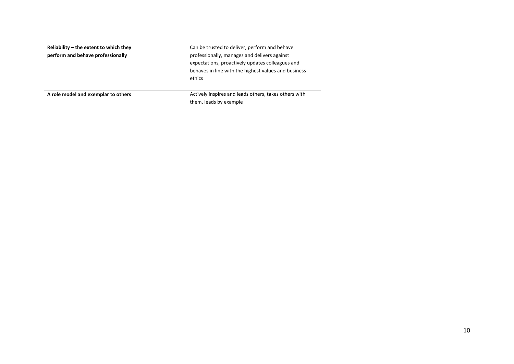| Reliability $-$ the extent to which they | Can be trusted to deliver, perform and behave         |
|------------------------------------------|-------------------------------------------------------|
| perform and behave professionally        | professionally, manages and delivers against          |
|                                          | expectations, proactively updates colleagues and      |
|                                          | behaves in line with the highest values and business  |
|                                          | ethics                                                |
|                                          |                                                       |
| A role model and exemplar to others      | Actively inspires and leads others, takes others with |
|                                          | them, leads by example                                |
|                                          |                                                       |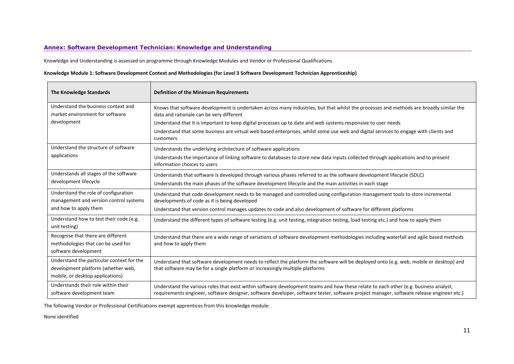#### **Annex: Software Development Technician: Knowledge and Understanding**

Knowledge and Understanding is assessed on programme through Knowledge Modules and Vendor or Professional Qualifications

#### **Knowledge Module 1: Software Development Context and Methodologies (for Level 3 Software Development Technician Apprenticeship)**

| The Knowledge Standards                                                                                             | <b>Definition of the Minimum Requirements</b>                                                                                                                                                                                                                                    |
|---------------------------------------------------------------------------------------------------------------------|----------------------------------------------------------------------------------------------------------------------------------------------------------------------------------------------------------------------------------------------------------------------------------|
| Understand the business context and<br>market environment for software                                              | Knows that software development is undertaken across many industries, but that whilst the processes and methods are broadly similar the<br>data and rationale can be very different                                                                                              |
| development                                                                                                         | Understand that it is important to keep digital processes up to date and web systems responsive to user needs                                                                                                                                                                    |
|                                                                                                                     | Understand that some business are virtual web based enterprises, whilst some use web and digital services to engage with clients and<br>customers                                                                                                                                |
| Understand the structure of software                                                                                | Understands the underlying architecture of software applications                                                                                                                                                                                                                 |
| applications                                                                                                        | Understands the importance of linking software to databases to store new data inputs collected through applications and to present<br>information choices to users                                                                                                               |
| Understands all stages of the software                                                                              | Understands that software is developed through various phases referred to as the software development lifecycle (SDLC)                                                                                                                                                           |
| development lifecycle                                                                                               | Understands the main phases of the software development lifecycle and the main activities in each stage                                                                                                                                                                          |
| Understand the role of configuration<br>management and version control systems                                      | Understand that code development needs to be managed and controlled using configuration management tools to store incremental<br>developments of code as it is being developed                                                                                                   |
| and how to apply them                                                                                               | Understand that version control manages updates to code and also development of software for different platforms                                                                                                                                                                 |
| Understand how to test their code (e.g.<br>unit testing)                                                            | Understand the different types of software testing (e.g. unit testing, integration testing, load testing etc.) and how to apply them                                                                                                                                             |
| Recognise that there are different<br>methodologies that can be used for<br>software development                    | Understand that there are a wide range of variations of software development methodologies including waterfall and agile based methods<br>and how to apply them                                                                                                                  |
| Understand the particular context for the<br>development platform (whether web,<br>mobile, or desktop applications) | Understand that software development needs to reflect the platform the software will be deployed onto (e.g. web, mobile or desktop) and<br>that software may be for a single platform or increasingly multiple platforms                                                         |
| Understands their role within their<br>software development team                                                    | Understand the various roles that exist within software development teams and how these relate to each other (e.g. business analyst,<br>requirements engineer, software designer, software developer, software tester, software project manager, software release engineer etc.) |

The following Vendor or Professional Certifications exempt apprentices from this knowledge module:

None identified